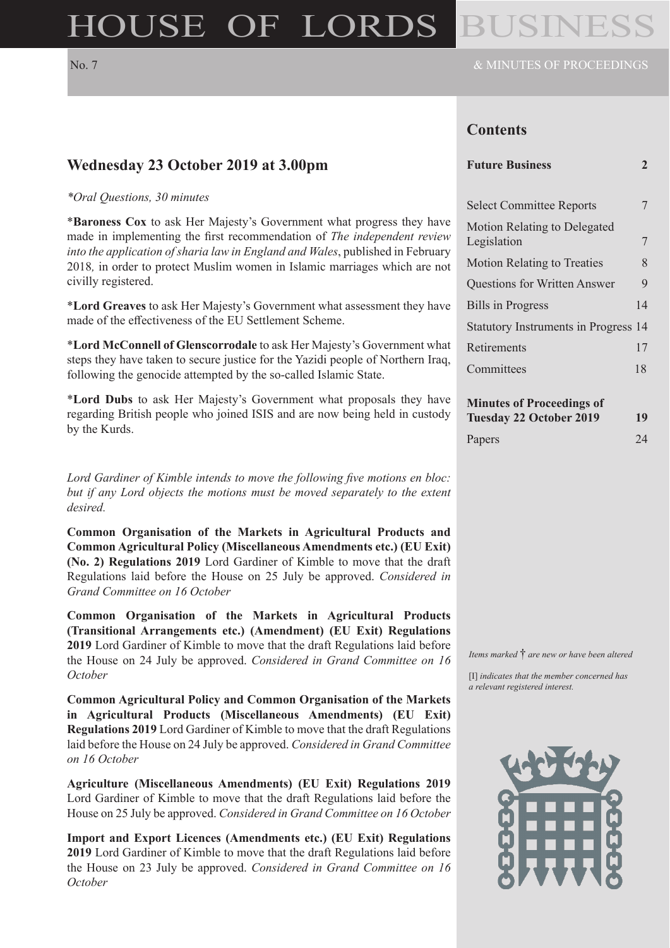# HOUSE OF LORDS

## **Contents**

#### **Future Business 2**

| <b>Select Committee Reports</b>             |    |
|---------------------------------------------|----|
| Motion Relating to Delegated<br>Legislation | 7  |
| <b>Motion Relating to Treaties</b>          | 8  |
| <b>Questions for Written Answer</b>         | 9  |
| <b>Bills in Progress</b>                    | 14 |
| <b>Statutory Instruments in Progress 14</b> |    |
| Retirements                                 | 17 |
| Committees                                  | 18 |

| <b>Minutes of Proceedings of</b> |    |
|----------------------------------|----|
| <b>Tuesday 22 October 2019</b>   | 19 |
|                                  |    |

| Papers | 24 |
|--------|----|
|--------|----|

*\*Oral Questions, 30 minutes*

**Wednesday 23 October 2019 at 3.00pm**

\***Baroness Cox** to ask Her Majesty's Government what progress they have made in implementing the first recommendation of *The independent review into the application of sharia law in England and Wales*, published in February 2018*,* in order to protect Muslim women in Islamic marriages which are not civilly registered.

\***Lord Greaves** to ask Her Majesty's Government what assessment they have made of the effectiveness of the EU Settlement Scheme.

\***Lord McConnell of Glenscorrodale** to ask Her Majesty's Government what steps they have taken to secure justice for the Yazidi people of Northern Iraq, following the genocide attempted by the so-called Islamic State.

\***Lord Dubs** to ask Her Majesty's Government what proposals they have regarding British people who joined ISIS and are now being held in custody by the Kurds.

*Lord Gardiner of Kimble intends to move the following five motions en bloc: but if any Lord objects the motions must be moved separately to the extent desired.*

**Common Organisation of the Markets in Agricultural Products and Common Agricultural Policy (Miscellaneous Amendments etc.) (EU Exit) (No. 2) Regulations 2019** Lord Gardiner of Kimble to move that the draft Regulations laid before the House on 25 July be approved. *Considered in Grand Committee on 16 October*

**Common Organisation of the Markets in Agricultural Products (Transitional Arrangements etc.) (Amendment) (EU Exit) Regulations 2019** Lord Gardiner of Kimble to move that the draft Regulations laid before the House on 24 July be approved. *Considered in Grand Committee on 16 October*

**Common Agricultural Policy and Common Organisation of the Markets in Agricultural Products (Miscellaneous Amendments) (EU Exit) Regulations 2019** Lord Gardiner of Kimble to move that the draft Regulations laid before the House on 24 July be approved. *Considered in Grand Committee on 16 October*

**Agriculture (Miscellaneous Amendments) (EU Exit) Regulations 2019** Lord Gardiner of Kimble to move that the draft Regulations laid before the House on 25 July be approved. *Considered in Grand Committee on 16 October*

**Import and Export Licences (Amendments etc.) (EU Exit) Regulations 2019** Lord Gardiner of Kimble to move that the draft Regulations laid before the House on 23 July be approved. *Considered in Grand Committee on 16 October*

*Items marked* † *are new or have been altered*

[I] *indicates that the member concerned has a relevant registered interest.*

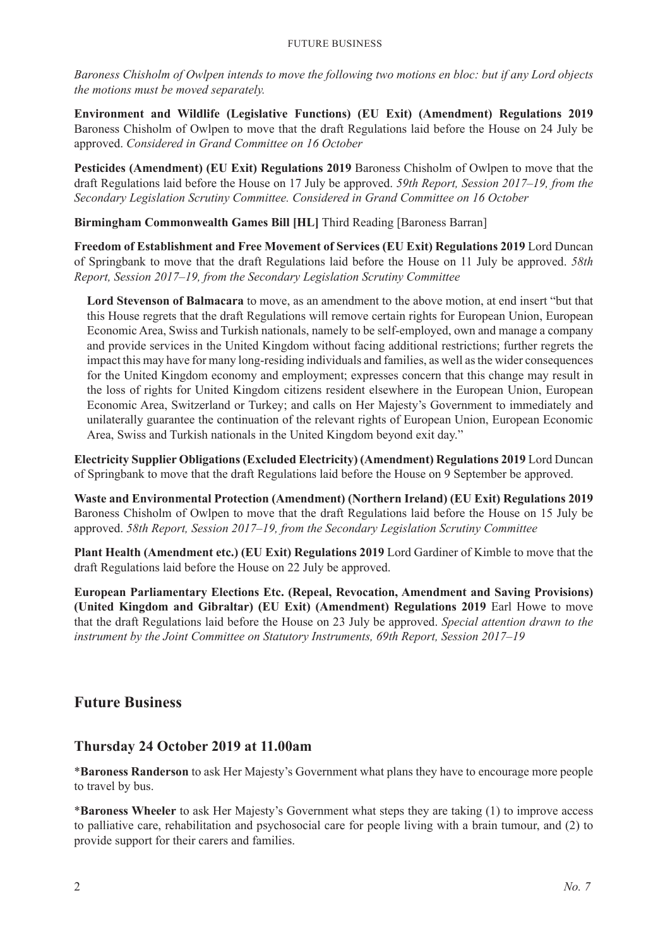*Baroness Chisholm of Owlpen intends to move the following two motions en bloc: but if any Lord objects the motions must be moved separately.*

**Environment and Wildlife (Legislative Functions) (EU Exit) (Amendment) Regulations 2019** Baroness Chisholm of Owlpen to move that the draft Regulations laid before the House on 24 July be approved. *Considered in Grand Committee on 16 October*

**Pesticides (Amendment) (EU Exit) Regulations 2019** Baroness Chisholm of Owlpen to move that the draft Regulations laid before the House on 17 July be approved. *59th Report, Session 2017–19, from the Secondary Legislation Scrutiny Committee. Considered in Grand Committee on 16 October*

**Birmingham Commonwealth Games Bill [HL]** Third Reading [Baroness Barran]

**Freedom of Establishment and Free Movement of Services (EU Exit) Regulations 2019** Lord Duncan of Springbank to move that the draft Regulations laid before the House on 11 July be approved. *58th Report, Session 2017–19, from the Secondary Legislation Scrutiny Committee*

**Lord Stevenson of Balmacara** to move, as an amendment to the above motion, at end insert "but that this House regrets that the draft Regulations will remove certain rights for European Union, European Economic Area, Swiss and Turkish nationals, namely to be self-employed, own and manage a company and provide services in the United Kingdom without facing additional restrictions; further regrets the impact this may have for many long-residing individuals and families, as well as the wider consequences for the United Kingdom economy and employment; expresses concern that this change may result in the loss of rights for United Kingdom citizens resident elsewhere in the European Union, European Economic Area, Switzerland or Turkey; and calls on Her Majesty's Government to immediately and unilaterally guarantee the continuation of the relevant rights of European Union, European Economic Area, Swiss and Turkish nationals in the United Kingdom beyond exit day."

**Electricity Supplier Obligations (Excluded Electricity) (Amendment) Regulations 2019** Lord Duncan of Springbank to move that the draft Regulations laid before the House on 9 September be approved.

**Waste and Environmental Protection (Amendment) (Northern Ireland) (EU Exit) Regulations 2019** Baroness Chisholm of Owlpen to move that the draft Regulations laid before the House on 15 July be approved. *58th Report, Session 2017–19, from the Secondary Legislation Scrutiny Committee*

**Plant Health (Amendment etc.) (EU Exit) Regulations 2019** Lord Gardiner of Kimble to move that the draft Regulations laid before the House on 22 July be approved.

**European Parliamentary Elections Etc. (Repeal, Revocation, Amendment and Saving Provisions) (United Kingdom and Gibraltar) (EU Exit) (Amendment) Regulations 2019** Earl Howe to move that the draft Regulations laid before the House on 23 July be approved. *Special attention drawn to the instrument by the Joint Committee on Statutory Instruments, 69th Report, Session 2017–19*

## **Future Business**

## **Thursday 24 October 2019 at 11.00am**

\***Baroness Randerson** to ask Her Majesty's Government what plans they have to encourage more people to travel by bus.

\***Baroness Wheeler** to ask Her Majesty's Government what steps they are taking (1) to improve access to palliative care, rehabilitation and psychosocial care for people living with a brain tumour, and (2) to provide support for their carers and families.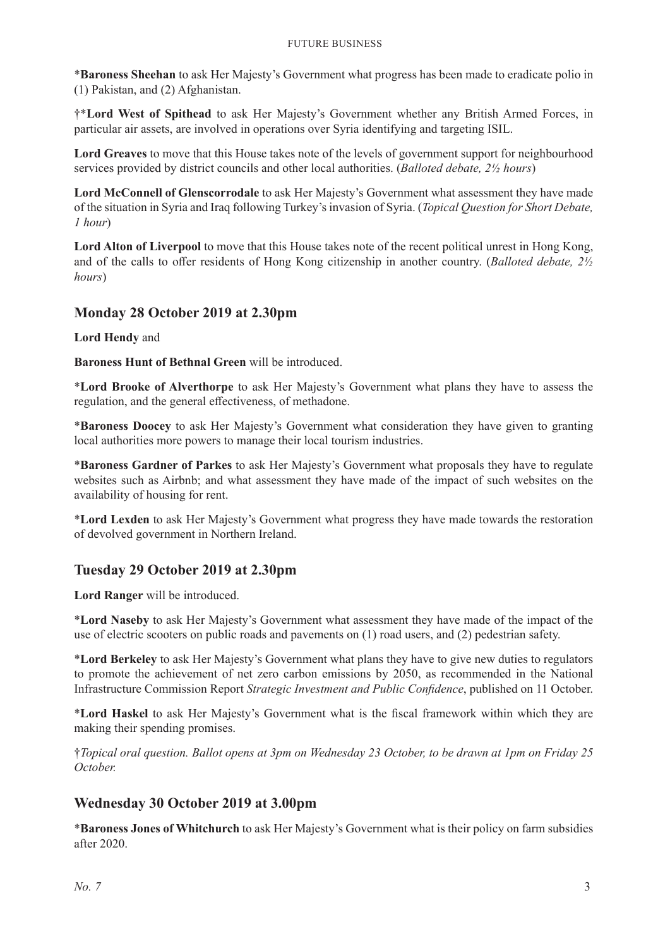\***Baroness Sheehan** to ask Her Majesty's Government what progress has been made to eradicate polio in (1) Pakistan, and (2) Afghanistan.

†\***Lord West of Spithead** to ask Her Majesty's Government whether any British Armed Forces, in particular air assets, are involved in operations over Syria identifying and targeting ISIL.

**Lord Greaves** to move that this House takes note of the levels of government support for neighbourhood services provided by district councils and other local authorities. (*Balloted debate, 2½ hours*)

**Lord McConnell of Glenscorrodale** to ask Her Majesty's Government what assessment they have made of the situation in Syria and Iraq following Turkey's invasion of Syria. (*Topical Question for Short Debate, 1 hour*)

**Lord Alton of Liverpool** to move that this House takes note of the recent political unrest in Hong Kong, and of the calls to offer residents of Hong Kong citizenship in another country. (*Balloted debate, 2½ hours*)

## **Monday 28 October 2019 at 2.30pm**

**Lord Hendy** and

**Baroness Hunt of Bethnal Green** will be introduced.

\***Lord Brooke of Alverthorpe** to ask Her Majesty's Government what plans they have to assess the regulation, and the general effectiveness, of methadone.

\***Baroness Doocey** to ask Her Majesty's Government what consideration they have given to granting local authorities more powers to manage their local tourism industries.

\***Baroness Gardner of Parkes** to ask Her Majesty's Government what proposals they have to regulate websites such as Airbnb; and what assessment they have made of the impact of such websites on the availability of housing for rent.

\***Lord Lexden** to ask Her Majesty's Government what progress they have made towards the restoration of devolved government in Northern Ireland.

## **Tuesday 29 October 2019 at 2.30pm**

**Lord Ranger** will be introduced.

\***Lord Naseby** to ask Her Majesty's Government what assessment they have made of the impact of the use of electric scooters on public roads and pavements on (1) road users, and (2) pedestrian safety.

\***Lord Berkeley** to ask Her Majesty's Government what plans they have to give new duties to regulators to promote the achievement of net zero carbon emissions by 2050, as recommended in the National Infrastructure Commission Report *Strategic Investment and Public Confidence*, published on 11 October.

\***Lord Haskel** to ask Her Majesty's Government what is the fiscal framework within which they are making their spending promises.

†*Topical oral question. Ballot opens at 3pm on Wednesday 23 October, to be drawn at 1pm on Friday 25 October.*

## **Wednesday 30 October 2019 at 3.00pm**

\***Baroness Jones of Whitchurch** to ask Her Majesty's Government what is their policy on farm subsidies after 2020.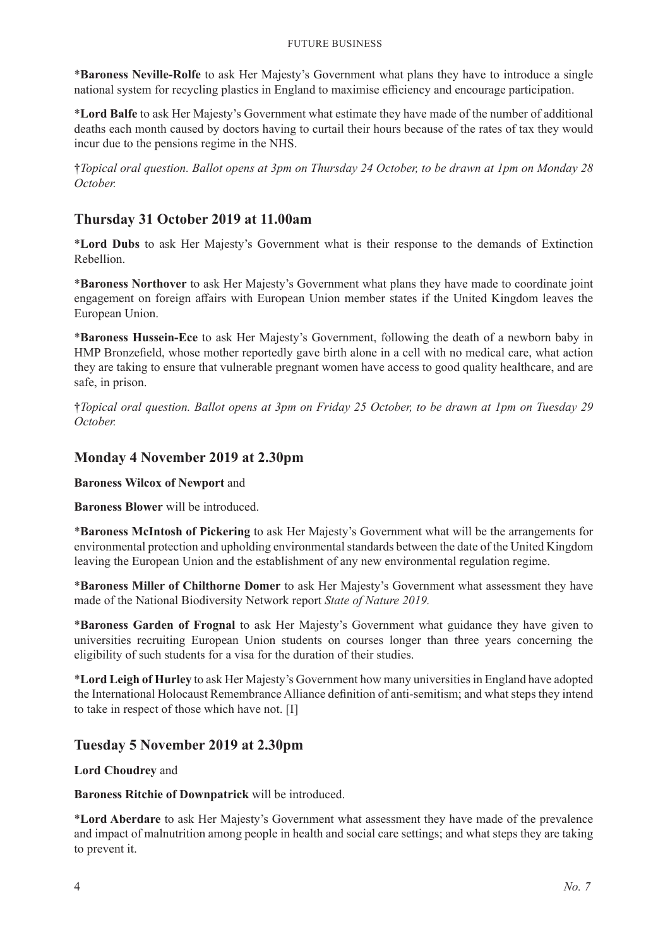\***Baroness Neville-Rolfe** to ask Her Majesty's Government what plans they have to introduce a single national system for recycling plastics in England to maximise efficiency and encourage participation.

\***Lord Balfe** to ask Her Majesty's Government what estimate they have made of the number of additional deaths each month caused by doctors having to curtail their hours because of the rates of tax they would incur due to the pensions regime in the NHS.

†*Topical oral question. Ballot opens at 3pm on Thursday 24 October, to be drawn at 1pm on Monday 28 October.*

## **Thursday 31 October 2019 at 11.00am**

\***Lord Dubs** to ask Her Majesty's Government what is their response to the demands of Extinction Rebellion.

\***Baroness Northover** to ask Her Majesty's Government what plans they have made to coordinate joint engagement on foreign affairs with European Union member states if the United Kingdom leaves the European Union.

\***Baroness Hussein-Ece** to ask Her Majesty's Government, following the death of a newborn baby in HMP Bronzefield, whose mother reportedly gave birth alone in a cell with no medical care, what action they are taking to ensure that vulnerable pregnant women have access to good quality healthcare, and are safe, in prison.

†*Topical oral question. Ballot opens at 3pm on Friday 25 October, to be drawn at 1pm on Tuesday 29 October.*

## **Monday 4 November 2019 at 2.30pm**

**Baroness Wilcox of Newport** and

**Baroness Blower** will be introduced.

\***Baroness McIntosh of Pickering** to ask Her Majesty's Government what will be the arrangements for environmental protection and upholding environmental standards between the date of the United Kingdom leaving the European Union and the establishment of any new environmental regulation regime.

\***Baroness Miller of Chilthorne Domer** to ask Her Majesty's Government what assessment they have made of the National Biodiversity Network report *State of Nature 2019.*

\***Baroness Garden of Frognal** to ask Her Majesty's Government what guidance they have given to universities recruiting European Union students on courses longer than three years concerning the eligibility of such students for a visa for the duration of their studies.

\***Lord Leigh of Hurley** to ask Her Majesty's Government how many universities in England have adopted the International Holocaust Remembrance Alliance definition of anti-semitism; and what steps they intend to take in respect of those which have not. [I]

## **Tuesday 5 November 2019 at 2.30pm**

**Lord Choudrey** and

**Baroness Ritchie of Downpatrick** will be introduced.

\***Lord Aberdare** to ask Her Majesty's Government what assessment they have made of the prevalence and impact of malnutrition among people in health and social care settings; and what steps they are taking to prevent it.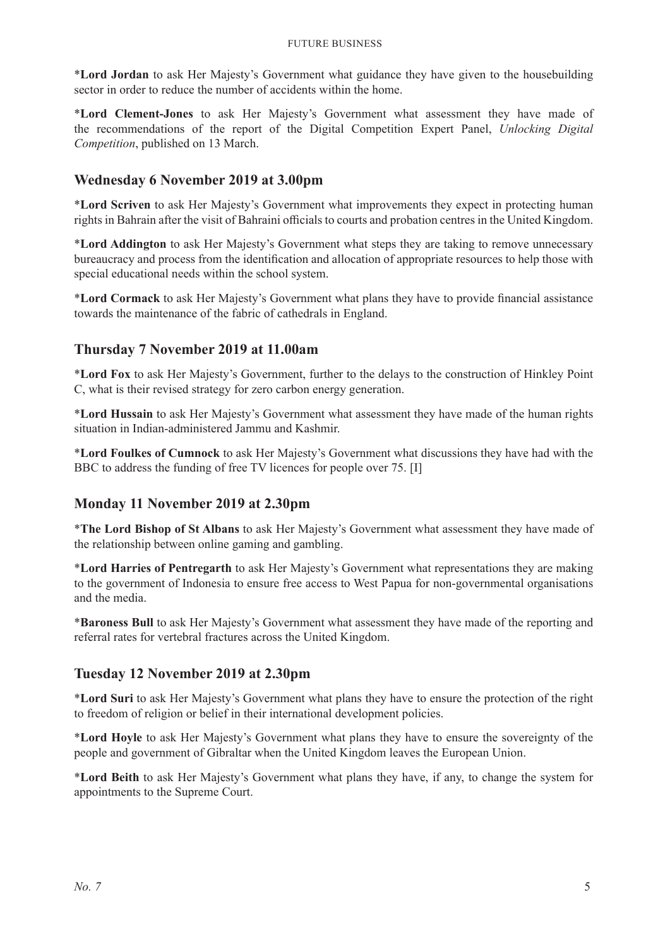\***Lord Jordan** to ask Her Majesty's Government what guidance they have given to the housebuilding sector in order to reduce the number of accidents within the home.

\***Lord Clement-Jones** to ask Her Majesty's Government what assessment they have made of the recommendations of the report of the Digital Competition Expert Panel, *Unlocking Digital Competition*, published on 13 March.

## **Wednesday 6 November 2019 at 3.00pm**

\***Lord Scriven** to ask Her Majesty's Government what improvements they expect in protecting human rights in Bahrain after the visit of Bahraini officials to courts and probation centres in the United Kingdom.

\***Lord Addington** to ask Her Majesty's Government what steps they are taking to remove unnecessary bureaucracy and process from the identification and allocation of appropriate resources to help those with special educational needs within the school system.

\***Lord Cormack** to ask Her Majesty's Government what plans they have to provide financial assistance towards the maintenance of the fabric of cathedrals in England.

## **Thursday 7 November 2019 at 11.00am**

\***Lord Fox** to ask Her Majesty's Government, further to the delays to the construction of Hinkley Point C, what is their revised strategy for zero carbon energy generation.

\***Lord Hussain** to ask Her Majesty's Government what assessment they have made of the human rights situation in Indian-administered Jammu and Kashmir.

\***Lord Foulkes of Cumnock** to ask Her Majesty's Government what discussions they have had with the BBC to address the funding of free TV licences for people over 75. [I]

## **Monday 11 November 2019 at 2.30pm**

\***The Lord Bishop of St Albans** to ask Her Majesty's Government what assessment they have made of the relationship between online gaming and gambling.

\***Lord Harries of Pentregarth** to ask Her Majesty's Government what representations they are making to the government of Indonesia to ensure free access to West Papua for non-governmental organisations and the media.

\***Baroness Bull** to ask Her Majesty's Government what assessment they have made of the reporting and referral rates for vertebral fractures across the United Kingdom.

## **Tuesday 12 November 2019 at 2.30pm**

\***Lord Suri** to ask Her Majesty's Government what plans they have to ensure the protection of the right to freedom of religion or belief in their international development policies.

\***Lord Hoyle** to ask Her Majesty's Government what plans they have to ensure the sovereignty of the people and government of Gibraltar when the United Kingdom leaves the European Union.

\***Lord Beith** to ask Her Majesty's Government what plans they have, if any, to change the system for appointments to the Supreme Court.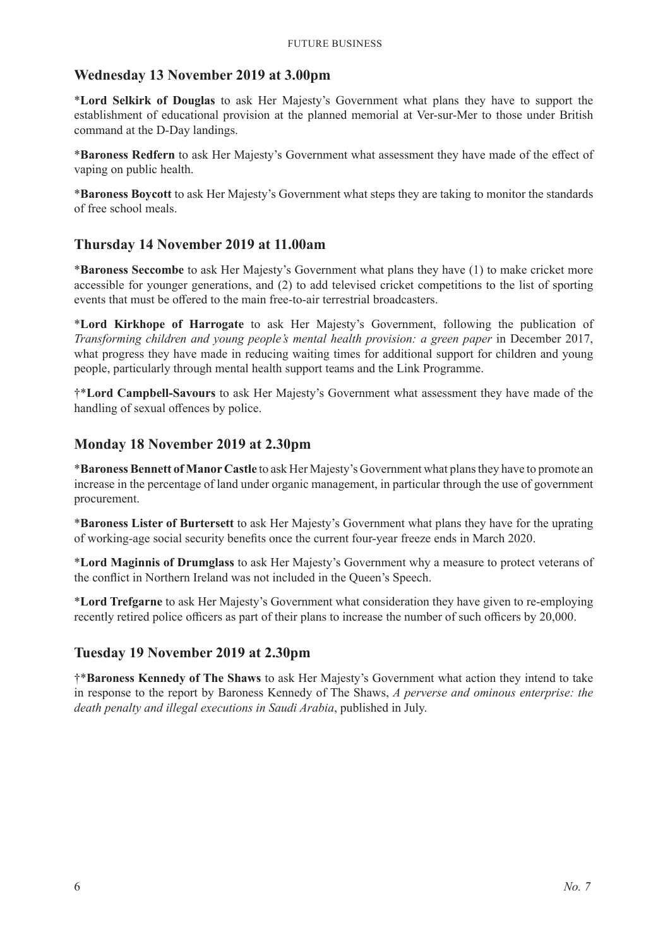## **Wednesday 13 November 2019 at 3.00pm**

\***Lord Selkirk of Douglas** to ask Her Majesty's Government what plans they have to support the establishment of educational provision at the planned memorial at Ver-sur-Mer to those under British command at the D-Day landings.

\***Baroness Redfern** to ask Her Majesty's Government what assessment they have made of the effect of vaping on public health.

\***Baroness Boycott** to ask Her Majesty's Government what steps they are taking to monitor the standards of free school meals.

## **Thursday 14 November 2019 at 11.00am**

\***Baroness Seccombe** to ask Her Majesty's Government what plans they have (1) to make cricket more accessible for younger generations, and (2) to add televised cricket competitions to the list of sporting events that must be offered to the main free-to-air terrestrial broadcasters.

\***Lord Kirkhope of Harrogate** to ask Her Majesty's Government, following the publication of *Transforming children and young people's mental health provision: a green paper* in December 2017, what progress they have made in reducing waiting times for additional support for children and young people, particularly through mental health support teams and the Link Programme.

†\***Lord Campbell-Savours** to ask Her Majesty's Government what assessment they have made of the handling of sexual offences by police.

## **Monday 18 November 2019 at 2.30pm**

\***Baroness Bennett of Manor Castle** to ask Her Majesty's Government what plans they have to promote an increase in the percentage of land under organic management, in particular through the use of government procurement.

\***Baroness Lister of Burtersett** to ask Her Majesty's Government what plans they have for the uprating of working-age social security benefits once the current four-year freeze ends in March 2020.

\***Lord Maginnis of Drumglass** to ask Her Majesty's Government why a measure to protect veterans of the conflict in Northern Ireland was not included in the Queen's Speech.

\***Lord Trefgarne** to ask Her Majesty's Government what consideration they have given to re-employing recently retired police officers as part of their plans to increase the number of such officers by 20,000.

### **Tuesday 19 November 2019 at 2.30pm**

†\***Baroness Kennedy of The Shaws** to ask Her Majesty's Government what action they intend to take in response to the report by Baroness Kennedy of The Shaws, *A perverse and ominous enterprise: the death penalty and illegal executions in Saudi Arabia*, published in July.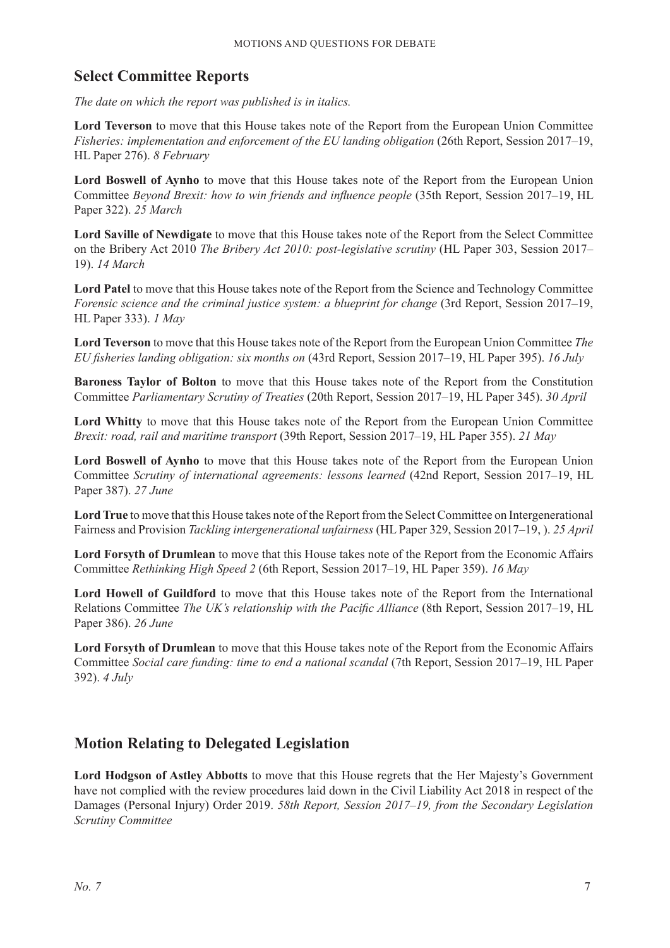## **Select Committee Reports**

*The date on which the report was published is in italics.*

**Lord Teverson** to move that this House takes note of the Report from the European Union Committee *Fisheries: implementation and enforcement of the EU landing obligation* (26th Report, Session 2017–19, HL Paper 276). *8 February*

**Lord Boswell of Aynho** to move that this House takes note of the Report from the European Union Committee *Beyond Brexit: how to win friends and influence people* (35th Report, Session 2017–19, HL Paper 322). *25 March*

**Lord Saville of Newdigate** to move that this House takes note of the Report from the Select Committee on the Bribery Act 2010 *The Bribery Act 2010: post-legislative scrutiny* (HL Paper 303, Session 2017– 19). *14 March*

**Lord Patel** to move that this House takes note of the Report from the Science and Technology Committee *Forensic science and the criminal justice system: a blueprint for change* (3rd Report, Session 2017–19, HL Paper 333). *1 May*

**Lord Teverson** to move that this House takes note of the Report from the European Union Committee *The EU fisheries landing obligation: six months on* (43rd Report, Session 2017–19, HL Paper 395). *16 July*

**Baroness Taylor of Bolton** to move that this House takes note of the Report from the Constitution Committee *Parliamentary Scrutiny of Treaties* (20th Report, Session 2017–19, HL Paper 345). *30 April*

**Lord Whitty** to move that this House takes note of the Report from the European Union Committee *Brexit: road, rail and maritime transport* (39th Report, Session 2017–19, HL Paper 355). *21 May*

**Lord Boswell of Aynho** to move that this House takes note of the Report from the European Union Committee *Scrutiny of international agreements: lessons learned* (42nd Report, Session 2017–19, HL Paper 387). *27 June*

**Lord True** to move that this House takes note of the Report from the Select Committee on Intergenerational Fairness and Provision *Tackling intergenerational unfairness* (HL Paper 329, Session 2017–19, ). *25 April*

**Lord Forsyth of Drumlean** to move that this House takes note of the Report from the Economic Affairs Committee *Rethinking High Speed 2* (6th Report, Session 2017–19, HL Paper 359). *16 May*

**Lord Howell of Guildford** to move that this House takes note of the Report from the International Relations Committee *The UK's relationship with the Pacific Alliance* (8th Report, Session 2017–19, HL Paper 386). *26 June*

**Lord Forsyth of Drumlean** to move that this House takes note of the Report from the Economic Affairs Committee *Social care funding: time to end a national scandal* (7th Report, Session 2017–19, HL Paper 392). *4 July*

## **Motion Relating to Delegated Legislation**

**Lord Hodgson of Astley Abbotts** to move that this House regrets that the Her Majesty's Government have not complied with the review procedures laid down in the Civil Liability Act 2018 in respect of the Damages (Personal Injury) Order 2019. *58th Report, Session 2017–19, from the Secondary Legislation Scrutiny Committee*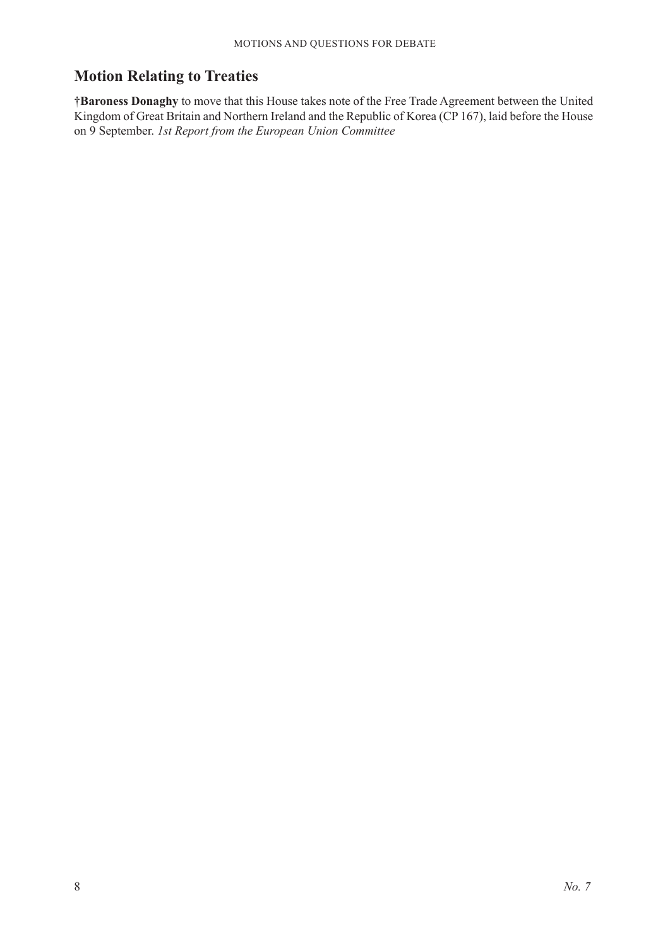## **Motion Relating to Treaties**

†**Baroness Donaghy** to move that this House takes note of the Free Trade Agreement between the United Kingdom of Great Britain and Northern Ireland and the Republic of Korea (CP 167), laid before the House on 9 September. *1st Report from the European Union Committee*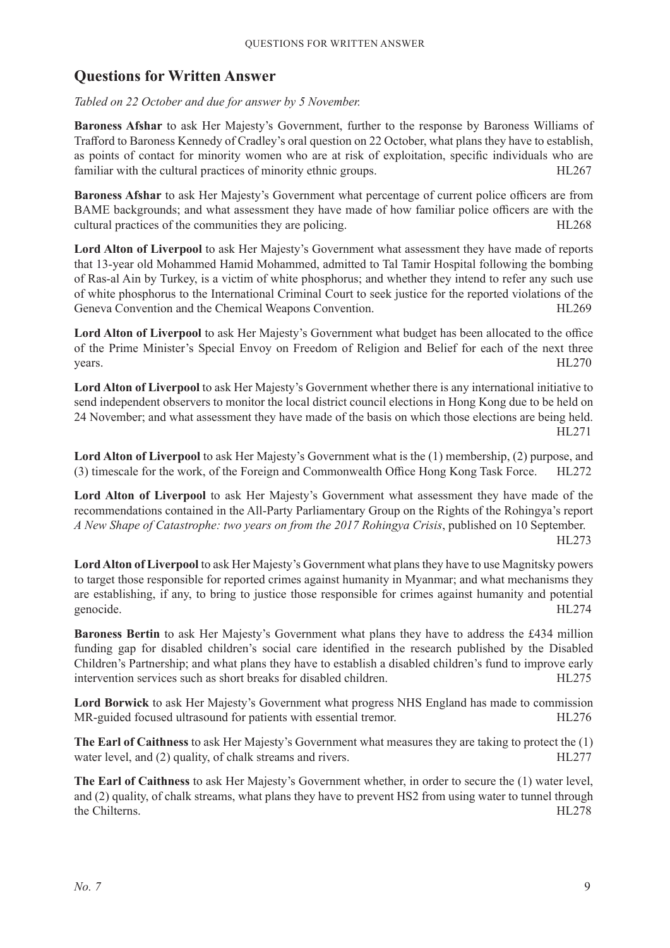## **Questions for Written Answer**

*Tabled on 22 October and due for answer by 5 November.*

**Baroness Afshar** to ask Her Majesty's Government, further to the response by Baroness Williams of Trafford to Baroness Kennedy of Cradley's oral question on 22 October, what plans they have to establish, as points of contact for minority women who are at risk of exploitation, specific individuals who are familiar with the cultural practices of minority ethnic groups. HL267

**Baroness Afshar** to ask Her Majesty's Government what percentage of current police officers are from BAME backgrounds; and what assessment they have made of how familiar police officers are with the cultural practices of the communities they are policing. HL268

**Lord Alton of Liverpool** to ask Her Majesty's Government what assessment they have made of reports that 13-year old Mohammed Hamid Mohammed, admitted to Tal Tamir Hospital following the bombing of Ras-al Ain by Turkey, is a victim of white phosphorus; and whether they intend to refer any such use of white phosphorus to the International Criminal Court to seek justice for the reported violations of the Geneva Convention and the Chemical Weapons Convention. The MESS HIL269

**Lord Alton of Liverpool** to ask Her Majesty's Government what budget has been allocated to the office of the Prime Minister's Special Envoy on Freedom of Religion and Belief for each of the next three years. HL270

**Lord Alton of Liverpool** to ask Her Majesty's Government whether there is any international initiative to send independent observers to monitor the local district council elections in Hong Kong due to be held on 24 November; and what assessment they have made of the basis on which those elections are being held. HL271

**Lord Alton of Liverpool** to ask Her Majesty's Government what is the (1) membership, (2) purpose, and (3) timescale for the work, of the Foreign and Commonwealth Office Hong Kong Task Force. HL272

Lord Alton of Liverpool to ask Her Majesty's Government what assessment they have made of the recommendations contained in the All-Party Parliamentary Group on the Rights of the Rohingya's report *A New Shape of Catastrophe: two years on from the 2017 Rohingya Crisis*, published on 10 September.

HL273

**Lord Alton of Liverpool** to ask Her Majesty's Government what plans they have to use Magnitsky powers to target those responsible for reported crimes against humanity in Myanmar; and what mechanisms they are establishing, if any, to bring to justice those responsible for crimes against humanity and potential genocide. HL274

**Baroness Bertin** to ask Her Majesty's Government what plans they have to address the £434 million funding gap for disabled children's social care identified in the research published by the Disabled Children's Partnership; and what plans they have to establish a disabled children's fund to improve early intervention services such as short breaks for disabled children. 
HL275

**Lord Borwick** to ask Her Majesty's Government what progress NHS England has made to commission MR-guided focused ultrasound for patients with essential tremor. HL276

**The Earl of Caithness** to ask Her Majesty's Government what measures they are taking to protect the (1) water level, and (2) quality, of chalk streams and rivers. HL277

**The Earl of Caithness** to ask Her Majesty's Government whether, in order to secure the (1) water level, and (2) quality, of chalk streams, what plans they have to prevent HS2 from using water to tunnel through the Chilterns. HL278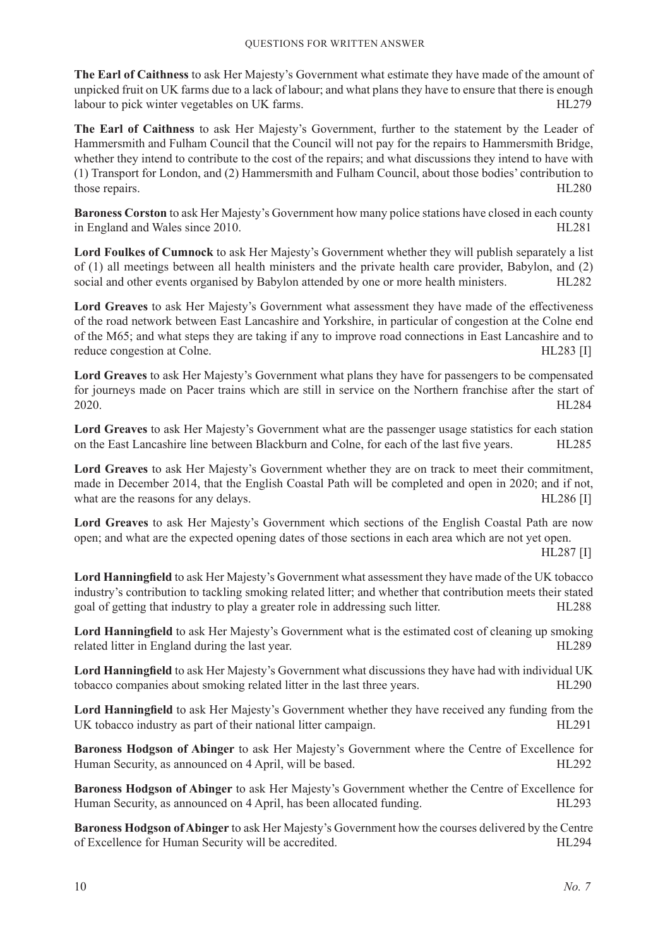**The Earl of Caithness** to ask Her Majesty's Government what estimate they have made of the amount of unpicked fruit on UK farms due to a lack of labour; and what plans they have to ensure that there is enough labour to pick winter vegetables on UK farms. HL279

**The Earl of Caithness** to ask Her Majesty's Government, further to the statement by the Leader of Hammersmith and Fulham Council that the Council will not pay for the repairs to Hammersmith Bridge, whether they intend to contribute to the cost of the repairs; and what discussions they intend to have with (1) Transport for London, and (2) Hammersmith and Fulham Council, about those bodies' contribution to those repairs. HL280

**Baroness Corston** to ask Her Majesty's Government how many police stations have closed in each county in England and Wales since 2010. 
HL281

**Lord Foulkes of Cumnock** to ask Her Majesty's Government whether they will publish separately a list of (1) all meetings between all health ministers and the private health care provider, Babylon, and (2) social and other events organised by Babylon attended by one or more health ministers. HL282

**Lord Greaves** to ask Her Majesty's Government what assessment they have made of the effectiveness of the road network between East Lancashire and Yorkshire, in particular of congestion at the Colne end of the M65; and what steps they are taking if any to improve road connections in East Lancashire and to reduce congestion at Colne. The state of the state of the state of the HL283 [I]

**Lord Greaves** to ask Her Majesty's Government what plans they have for passengers to be compensated for journeys made on Pacer trains which are still in service on the Northern franchise after the start of 2020. HL284

**Lord Greaves** to ask Her Majesty's Government what are the passenger usage statistics for each station on the East Lancashire line between Blackburn and Colne, for each of the last five years. HL285

**Lord Greaves** to ask Her Majesty's Government whether they are on track to meet their commitment, made in December 2014, that the English Coastal Path will be completed and open in 2020; and if not, what are the reasons for any delays. HL286 [I]

**Lord Greaves** to ask Her Majesty's Government which sections of the English Coastal Path are now open; and what are the expected opening dates of those sections in each area which are not yet open.

HL287 [I]

**Lord Hanningfield** to ask Her Majesty's Government what assessment they have made of the UK tobacco industry's contribution to tackling smoking related litter; and whether that contribution meets their stated goal of getting that industry to play a greater role in addressing such litter. HL288

**Lord Hanningfield** to ask Her Majesty's Government what is the estimated cost of cleaning up smoking related litter in England during the last year. The state of the HL289

**Lord Hanningfield** to ask Her Majesty's Government what discussions they have had with individual UK tobacco companies about smoking related litter in the last three years. HL290

**Lord Hanningfield** to ask Her Majesty's Government whether they have received any funding from the UK tobacco industry as part of their national litter campaign. HL291

**Baroness Hodgson of Abinger** to ask Her Majesty's Government where the Centre of Excellence for Human Security, as announced on 4 April, will be based. HL292

**Baroness Hodgson of Abinger** to ask Her Majesty's Government whether the Centre of Excellence for Human Security, as announced on 4 April, has been allocated funding. HL293

**Baroness Hodgson of Abinger** to ask Her Majesty's Government how the courses delivered by the Centre of Excellence for Human Security will be accredited. HL294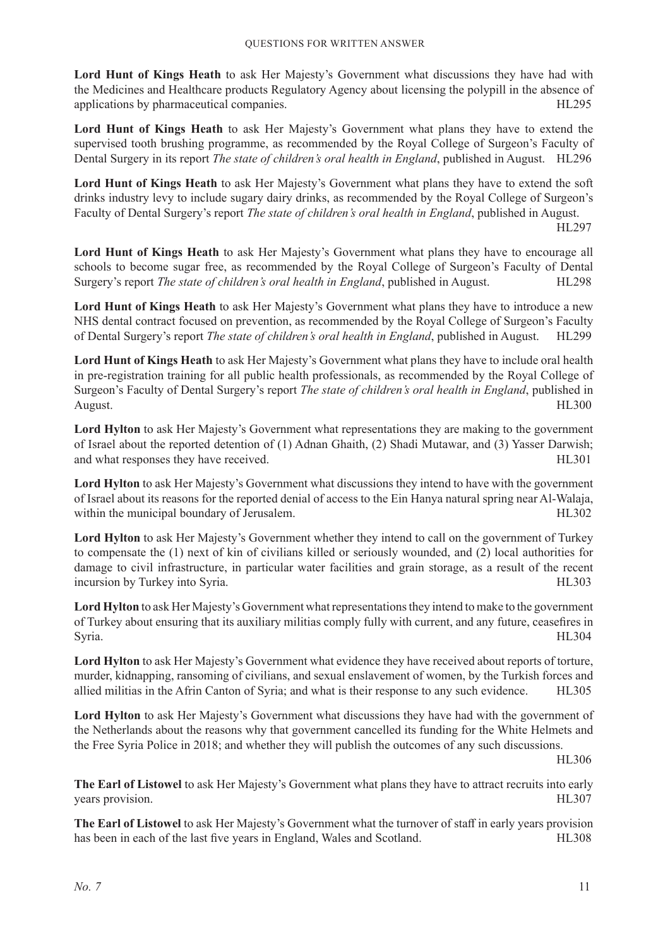**Lord Hunt of Kings Heath** to ask Her Majesty's Government what discussions they have had with the Medicines and Healthcare products Regulatory Agency about licensing the polypill in the absence of applications by pharmaceutical companies. 
HL295

**Lord Hunt of Kings Heath** to ask Her Majesty's Government what plans they have to extend the supervised tooth brushing programme, as recommended by the Royal College of Surgeon's Faculty of Dental Surgery in its report *The state of children's oral health in England*, published in August. HL296

**Lord Hunt of Kings Heath** to ask Her Majesty's Government what plans they have to extend the soft drinks industry levy to include sugary dairy drinks, as recommended by the Royal College of Surgeon's Faculty of Dental Surgery's report *The state of children's oral health in England*, published in August.

HL297

**Lord Hunt of Kings Heath** to ask Her Majesty's Government what plans they have to encourage all schools to become sugar free, as recommended by the Royal College of Surgeon's Faculty of Dental Surgery's report *The state of children's oral health in England*, published in August. **HL298** 

**Lord Hunt of Kings Heath** to ask Her Majesty's Government what plans they have to introduce a new NHS dental contract focused on prevention, as recommended by the Royal College of Surgeon's Faculty of Dental Surgery's report *The state of children's oral health in England*, published in August. HL299

**Lord Hunt of Kings Heath** to ask Her Majesty's Government what plans they have to include oral health in pre-registration training for all public health professionals, as recommended by the Royal College of Surgeon's Faculty of Dental Surgery's report *The state of children's oral health in England*, published in August. HL300

**Lord Hylton** to ask Her Majesty's Government what representations they are making to the government of Israel about the reported detention of (1) Adnan Ghaith, (2) Shadi Mutawar, and (3) Yasser Darwish; and what responses they have received. HL301

**Lord Hylton** to ask Her Majesty's Government what discussions they intend to have with the government of Israel about its reasons for the reported denial of access to the Ein Hanya natural spring near Al-Walaja, within the municipal boundary of Jerusalem.  $HL302$ 

**Lord Hylton** to ask Her Majesty's Government whether they intend to call on the government of Turkey to compensate the (1) next of kin of civilians killed or seriously wounded, and (2) local authorities for damage to civil infrastructure, in particular water facilities and grain storage, as a result of the recent incursion by Turkey into Syria. **HL303** 

**Lord Hylton** to ask Her Majesty's Government what representations they intend to make to the government of Turkey about ensuring that its auxiliary militias comply fully with current, and any future, ceasefires in Syria. HL304

**Lord Hylton** to ask Her Majesty's Government what evidence they have received about reports of torture, murder, kidnapping, ransoming of civilians, and sexual enslavement of women, by the Turkish forces and allied militias in the Afrin Canton of Syria; and what is their response to any such evidence. HL305

**Lord Hylton** to ask Her Majesty's Government what discussions they have had with the government of the Netherlands about the reasons why that government cancelled its funding for the White Helmets and the Free Syria Police in 2018; and whether they will publish the outcomes of any such discussions.

HL306

**The Earl of Listowel** to ask Her Majesty's Government what plans they have to attract recruits into early years provision. HL307

**The Earl of Listowel** to ask Her Majesty's Government what the turnover of staff in early years provision has been in each of the last five years in England, Wales and Scotland. HL308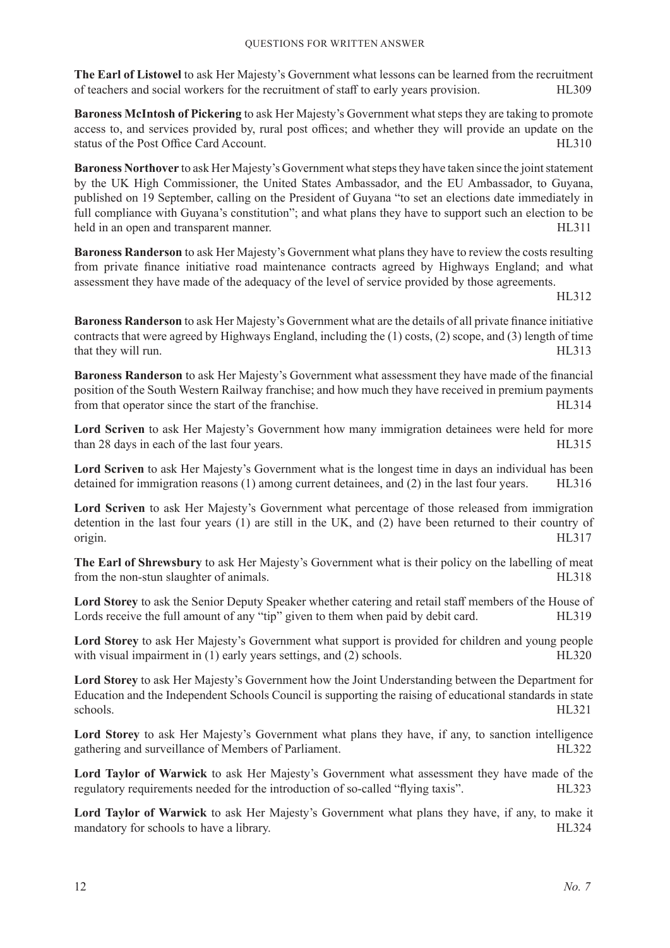**The Earl of Listowel** to ask Her Majesty's Government what lessons can be learned from the recruitment of teachers and social workers for the recruitment of staff to early years provision. HL309

**Baroness McIntosh of Pickering** to ask Her Majesty's Government what steps they are taking to promote access to, and services provided by, rural post offices; and whether they will provide an update on the status of the Post Office Card Account. 
HL310

**Baroness Northover** to ask Her Majesty's Government what steps they have taken since the joint statement by the UK High Commissioner, the United States Ambassador, and the EU Ambassador, to Guyana, published on 19 September, calling on the President of Guyana "to set an elections date immediately in full compliance with Guyana's constitution"; and what plans they have to support such an election to be held in an open and transparent manner. HL311

**Baroness Randerson** to ask Her Majesty's Government what plans they have to review the costs resulting from private finance initiative road maintenance contracts agreed by Highways England; and what assessment they have made of the adequacy of the level of service provided by those agreements.

HL312

**Baroness Randerson** to ask Her Majesty's Government what are the details of all private finance initiative contracts that were agreed by Highways England, including the (1) costs, (2) scope, and (3) length of time that they will run. HL313

**Baroness Randerson** to ask Her Majesty's Government what assessment they have made of the financial position of the South Western Railway franchise; and how much they have received in premium payments from that operator since the start of the franchise. HL314

**Lord Scriven** to ask Her Majesty's Government how many immigration detainees were held for more than 28 days in each of the last four years. 
HL315

**Lord Scriven** to ask Her Majesty's Government what is the longest time in days an individual has been detained for immigration reasons (1) among current detainees, and (2) in the last four years. HL316

**Lord Scriven** to ask Her Majesty's Government what percentage of those released from immigration detention in the last four years (1) are still in the UK, and (2) have been returned to their country of origin. HL317

**The Earl of Shrewsbury** to ask Her Majesty's Government what is their policy on the labelling of meat from the non-stun slaughter of animals. The non-stun slaughter of animals.

**Lord Storey** to ask the Senior Deputy Speaker whether catering and retail staff members of the House of Lords receive the full amount of any "tip" given to them when paid by debit card. HL319

**Lord Storey** to ask Her Majesty's Government what support is provided for children and young people with visual impairment in (1) early years settings, and (2) schools. HL320

**Lord Storey** to ask Her Majesty's Government how the Joint Understanding between the Department for Education and the Independent Schools Council is supporting the raising of educational standards in state schools. HL321

**Lord Storey** to ask Her Majesty's Government what plans they have, if any, to sanction intelligence gathering and surveillance of Members of Parliament. HL322

**Lord Taylor of Warwick** to ask Her Majesty's Government what assessment they have made of the regulatory requirements needed for the introduction of so-called "flying taxis". HL323

**Lord Taylor of Warwick** to ask Her Majesty's Government what plans they have, if any, to make it mandatory for schools to have a library. The state of the state of the HL324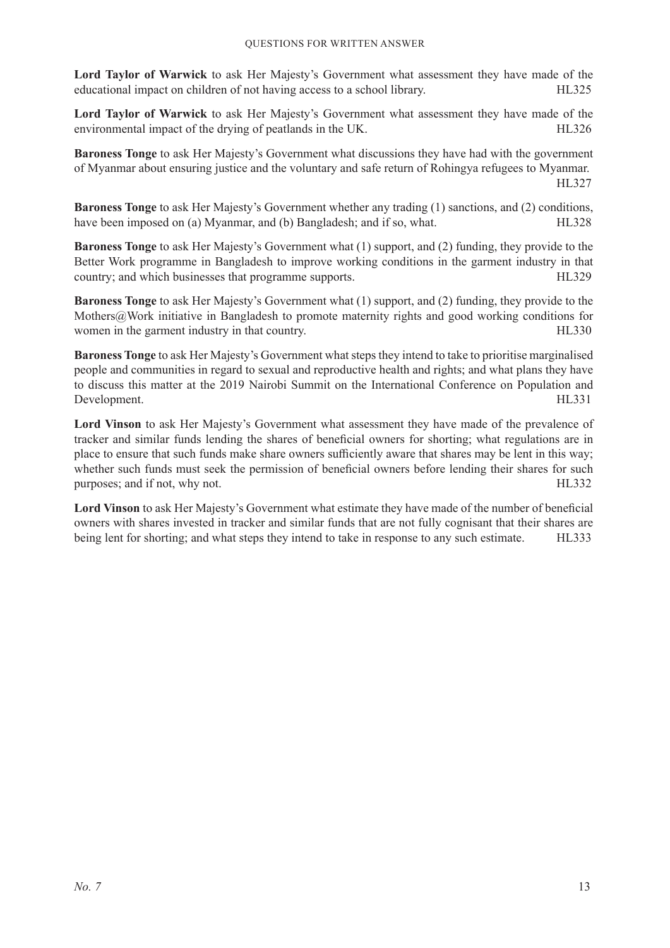**Lord Taylor of Warwick** to ask Her Majesty's Government what assessment they have made of the educational impact on children of not having access to a school library. HL325

**Lord Taylor of Warwick** to ask Her Majesty's Government what assessment they have made of the environmental impact of the drying of peatlands in the UK. HL326

**Baroness Tonge** to ask Her Majesty's Government what discussions they have had with the government of Myanmar about ensuring justice and the voluntary and safe return of Rohingya refugees to Myanmar. HL327

**Baroness Tonge** to ask Her Majesty's Government whether any trading (1) sanctions, and (2) conditions, have been imposed on (a) Myanmar, and (b) Bangladesh; and if so, what. 
HL328

**Baroness Tonge** to ask Her Majesty's Government what (1) support, and (2) funding, they provide to the Better Work programme in Bangladesh to improve working conditions in the garment industry in that country; and which businesses that programme supports. HL329

**Baroness Tonge** to ask Her Majesty's Government what (1) support, and (2) funding, they provide to the Mothers@Work initiative in Bangladesh to promote maternity rights and good working conditions for women in the garment industry in that country. The same state of the garment industry in that country.

**Baroness Tonge** to ask Her Majesty's Government what steps they intend to take to prioritise marginalised people and communities in regard to sexual and reproductive health and rights; and what plans they have to discuss this matter at the 2019 Nairobi Summit on the International Conference on Population and Development. HL331

**Lord Vinson** to ask Her Majesty's Government what assessment they have made of the prevalence of tracker and similar funds lending the shares of beneficial owners for shorting; what regulations are in place to ensure that such funds make share owners sufficiently aware that shares may be lent in this way; whether such funds must seek the permission of beneficial owners before lending their shares for such purposes; and if not, why not. The same purposes and if not, why not.

**Lord Vinson** to ask Her Majesty's Government what estimate they have made of the number of beneficial owners with shares invested in tracker and similar funds that are not fully cognisant that their shares are being lent for shorting; and what steps they intend to take in response to any such estimate. HL333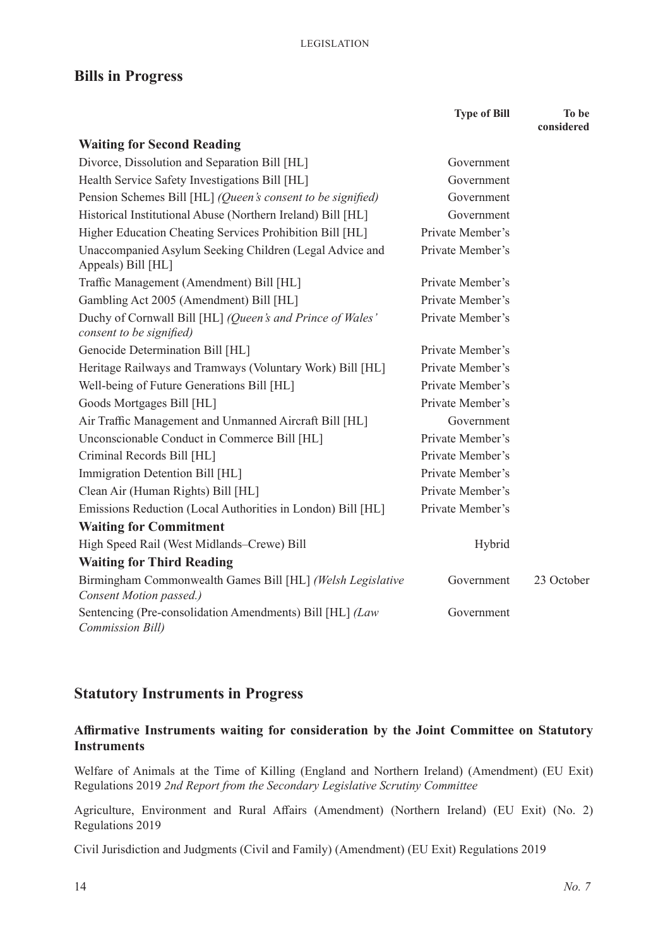## **Bills in Progress**

|                                                                                       | <b>Type of Bill</b> | To be<br>considered |
|---------------------------------------------------------------------------------------|---------------------|---------------------|
| <b>Waiting for Second Reading</b>                                                     |                     |                     |
| Divorce, Dissolution and Separation Bill [HL]                                         | Government          |                     |
| Health Service Safety Investigations Bill [HL]                                        | Government          |                     |
| Pension Schemes Bill [HL] (Queen's consent to be signified)                           | Government          |                     |
| Historical Institutional Abuse (Northern Ireland) Bill [HL]                           | Government          |                     |
| Higher Education Cheating Services Prohibition Bill [HL]                              | Private Member's    |                     |
| Unaccompanied Asylum Seeking Children (Legal Advice and<br>Appeals) Bill [HL]         | Private Member's    |                     |
| Traffic Management (Amendment) Bill [HL]                                              | Private Member's    |                     |
| Gambling Act 2005 (Amendment) Bill [HL]                                               | Private Member's    |                     |
| Duchy of Cornwall Bill [HL] (Queen's and Prince of Wales'<br>consent to be signified) | Private Member's    |                     |
| Genocide Determination Bill [HL]                                                      | Private Member's    |                     |
| Heritage Railways and Tramways (Voluntary Work) Bill [HL]                             | Private Member's    |                     |
| Well-being of Future Generations Bill [HL]                                            | Private Member's    |                     |
| Goods Mortgages Bill [HL]                                                             | Private Member's    |                     |
| Air Traffic Management and Unmanned Aircraft Bill [HL]                                | Government          |                     |
| Unconscionable Conduct in Commerce Bill [HL]                                          | Private Member's    |                     |
| Criminal Records Bill [HL]                                                            | Private Member's    |                     |
| Immigration Detention Bill [HL]                                                       | Private Member's    |                     |
| Clean Air (Human Rights) Bill [HL]                                                    | Private Member's    |                     |
| Emissions Reduction (Local Authorities in London) Bill [HL]                           | Private Member's    |                     |
| <b>Waiting for Commitment</b>                                                         |                     |                     |
| High Speed Rail (West Midlands-Crewe) Bill                                            | Hybrid              |                     |
| <b>Waiting for Third Reading</b>                                                      |                     |                     |
| Birmingham Commonwealth Games Bill [HL] (Welsh Legislative<br>Consent Motion passed.) | Government          | 23 October          |
| Sentencing (Pre-consolidation Amendments) Bill [HL] (Law<br>Commission Bill)          | Government          |                     |

## **Statutory Instruments in Progress**

## **Affirmative Instruments waiting for consideration by the Joint Committee on Statutory Instruments**

Welfare of Animals at the Time of Killing (England and Northern Ireland) (Amendment) (EU Exit) Regulations 2019 *2nd Report from the Secondary Legislative Scrutiny Committee*

Agriculture, Environment and Rural Affairs (Amendment) (Northern Ireland) (EU Exit) (No. 2) Regulations 2019

Civil Jurisdiction and Judgments (Civil and Family) (Amendment) (EU Exit) Regulations 2019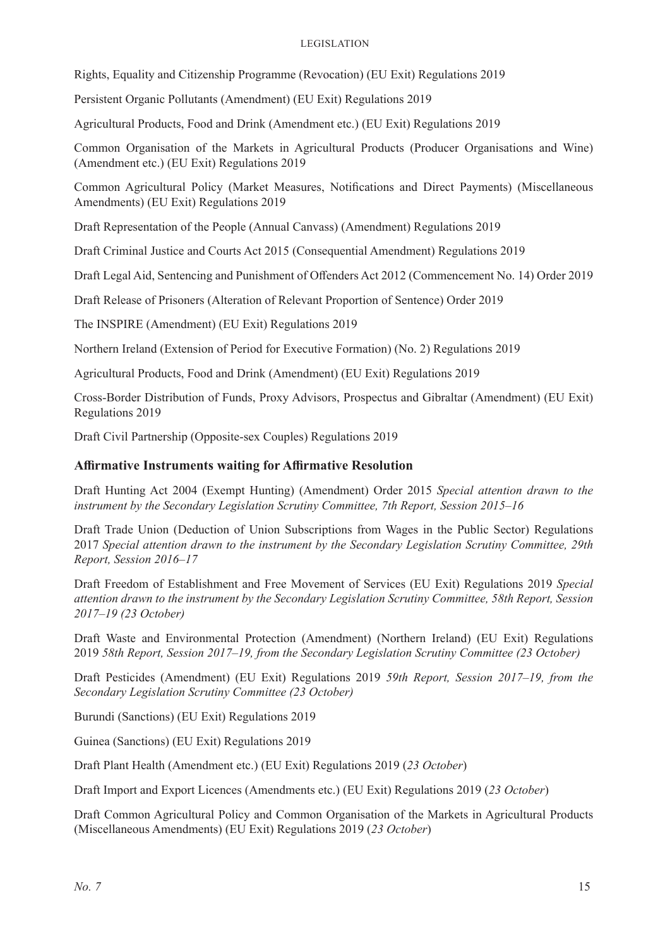#### Legislation

Rights, Equality and Citizenship Programme (Revocation) (EU Exit) Regulations 2019

Persistent Organic Pollutants (Amendment) (EU Exit) Regulations 2019

Agricultural Products, Food and Drink (Amendment etc.) (EU Exit) Regulations 2019

Common Organisation of the Markets in Agricultural Products (Producer Organisations and Wine) (Amendment etc.) (EU Exit) Regulations 2019

Common Agricultural Policy (Market Measures, Notifications and Direct Payments) (Miscellaneous Amendments) (EU Exit) Regulations 2019

Draft Representation of the People (Annual Canvass) (Amendment) Regulations 2019

Draft Criminal Justice and Courts Act 2015 (Consequential Amendment) Regulations 2019

Draft Legal Aid, Sentencing and Punishment of Offenders Act 2012 (Commencement No. 14) Order 2019

Draft Release of Prisoners (Alteration of Relevant Proportion of Sentence) Order 2019

The INSPIRE (Amendment) (EU Exit) Regulations 2019

Northern Ireland (Extension of Period for Executive Formation) (No. 2) Regulations 2019

Agricultural Products, Food and Drink (Amendment) (EU Exit) Regulations 2019

Cross-Border Distribution of Funds, Proxy Advisors, Prospectus and Gibraltar (Amendment) (EU Exit) Regulations 2019

Draft Civil Partnership (Opposite-sex Couples) Regulations 2019

### **Affirmative Instruments waiting for Affirmative Resolution**

Draft Hunting Act 2004 (Exempt Hunting) (Amendment) Order 2015 *Special attention drawn to the instrument by the Secondary Legislation Scrutiny Committee, 7th Report, Session 2015–16*

Draft Trade Union (Deduction of Union Subscriptions from Wages in the Public Sector) Regulations 2017 *Special attention drawn to the instrument by the Secondary Legislation Scrutiny Committee, 29th Report, Session 2016–17*

Draft Freedom of Establishment and Free Movement of Services (EU Exit) Regulations 2019 *Special attention drawn to the instrument by the Secondary Legislation Scrutiny Committee, 58th Report, Session 2017–19 (23 October)*

Draft Waste and Environmental Protection (Amendment) (Northern Ireland) (EU Exit) Regulations 2019 *58th Report, Session 2017–19, from the Secondary Legislation Scrutiny Committee (23 October)*

Draft Pesticides (Amendment) (EU Exit) Regulations 2019 *59th Report, Session 2017–19, from the Secondary Legislation Scrutiny Committee (23 October)*

Burundi (Sanctions) (EU Exit) Regulations 2019

Guinea (Sanctions) (EU Exit) Regulations 2019

Draft Plant Health (Amendment etc.) (EU Exit) Regulations 2019 (*23 October*)

Draft Import and Export Licences (Amendments etc.) (EU Exit) Regulations 2019 (*23 October*)

Draft Common Agricultural Policy and Common Organisation of the Markets in Agricultural Products (Miscellaneous Amendments) (EU Exit) Regulations 2019 (*23 October*)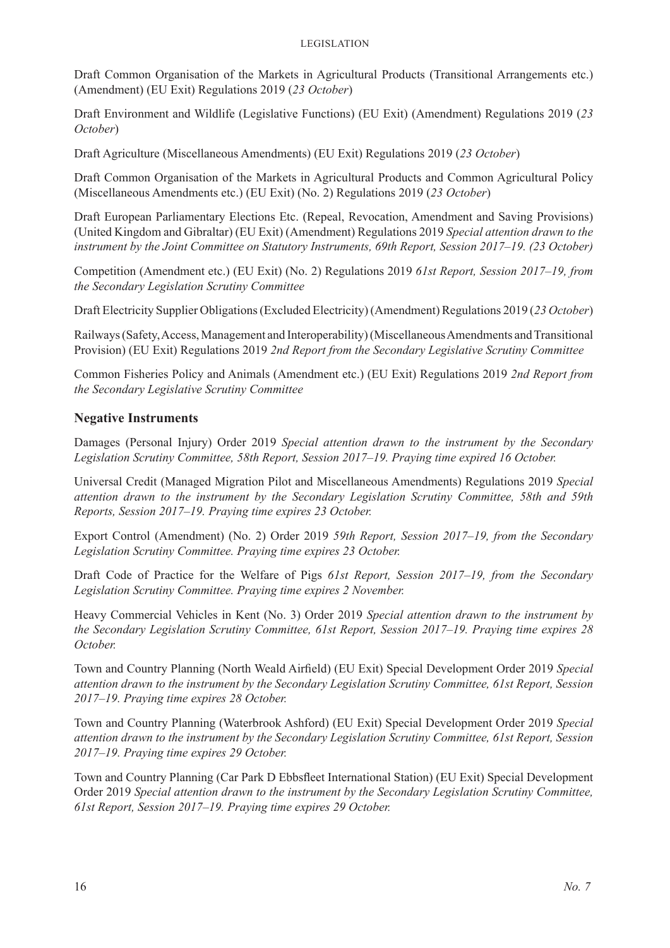Draft Common Organisation of the Markets in Agricultural Products (Transitional Arrangements etc.) (Amendment) (EU Exit) Regulations 2019 (*23 October*)

Draft Environment and Wildlife (Legislative Functions) (EU Exit) (Amendment) Regulations 2019 (*23 October*)

Draft Agriculture (Miscellaneous Amendments) (EU Exit) Regulations 2019 (*23 October*)

Draft Common Organisation of the Markets in Agricultural Products and Common Agricultural Policy (Miscellaneous Amendments etc.) (EU Exit) (No. 2) Regulations 2019 (*23 October*)

Draft European Parliamentary Elections Etc. (Repeal, Revocation, Amendment and Saving Provisions) (United Kingdom and Gibraltar) (EU Exit) (Amendment) Regulations 2019 *Special attention drawn to the instrument by the Joint Committee on Statutory Instruments, 69th Report, Session 2017–19. (23 October)*

Competition (Amendment etc.) (EU Exit) (No. 2) Regulations 2019 *61st Report, Session 2017–19, from the Secondary Legislation Scrutiny Committee*

Draft Electricity Supplier Obligations (Excluded Electricity) (Amendment) Regulations 2019 (*23 October*)

Railways (Safety, Access, Management and Interoperability) (Miscellaneous Amendments and Transitional Provision) (EU Exit) Regulations 2019 *2nd Report from the Secondary Legislative Scrutiny Committee*

Common Fisheries Policy and Animals (Amendment etc.) (EU Exit) Regulations 2019 *2nd Report from the Secondary Legislative Scrutiny Committee*

### **Negative Instruments**

Damages (Personal Injury) Order 2019 *Special attention drawn to the instrument by the Secondary Legislation Scrutiny Committee, 58th Report, Session 2017–19. Praying time expired 16 October.* 

Universal Credit (Managed Migration Pilot and Miscellaneous Amendments) Regulations 2019 *Special attention drawn to the instrument by the Secondary Legislation Scrutiny Committee, 58th and 59th Reports, Session 2017–19. Praying time expires 23 October.* 

Export Control (Amendment) (No. 2) Order 2019 *59th Report, Session 2017–19, from the Secondary Legislation Scrutiny Committee. Praying time expires 23 October.* 

Draft Code of Practice for the Welfare of Pigs *61st Report, Session 2017–19, from the Secondary Legislation Scrutiny Committee. Praying time expires 2 November.* 

Heavy Commercial Vehicles in Kent (No. 3) Order 2019 *Special attention drawn to the instrument by the Secondary Legislation Scrutiny Committee, 61st Report, Session 2017–19. Praying time expires 28 October.* 

Town and Country Planning (North Weald Airfield) (EU Exit) Special Development Order 2019 *Special attention drawn to the instrument by the Secondary Legislation Scrutiny Committee, 61st Report, Session 2017–19. Praying time expires 28 October.* 

Town and Country Planning (Waterbrook Ashford) (EU Exit) Special Development Order 2019 *Special attention drawn to the instrument by the Secondary Legislation Scrutiny Committee, 61st Report, Session 2017–19. Praying time expires 29 October.* 

Town and Country Planning (Car Park D Ebbsfleet International Station) (EU Exit) Special Development Order 2019 *Special attention drawn to the instrument by the Secondary Legislation Scrutiny Committee, 61st Report, Session 2017–19. Praying time expires 29 October.*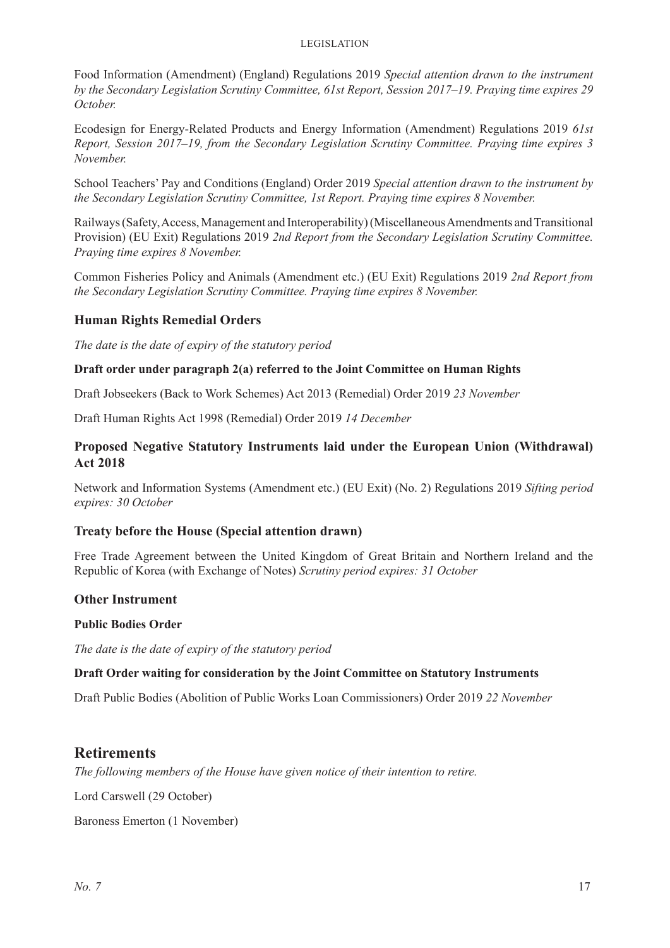#### Legislation

Food Information (Amendment) (England) Regulations 2019 *Special attention drawn to the instrument by the Secondary Legislation Scrutiny Committee, 61st Report, Session 2017–19. Praying time expires 29 October.* 

Ecodesign for Energy-Related Products and Energy Information (Amendment) Regulations 2019 *61st Report, Session 2017–19, from the Secondary Legislation Scrutiny Committee. Praying time expires 3 November.* 

School Teachers' Pay and Conditions (England) Order 2019 *Special attention drawn to the instrument by the Secondary Legislation Scrutiny Committee, 1st Report. Praying time expires 8 November.* 

Railways (Safety, Access, Management and Interoperability) (Miscellaneous Amendments and Transitional Provision) (EU Exit) Regulations 2019 *2nd Report from the Secondary Legislation Scrutiny Committee. Praying time expires 8 November.* 

Common Fisheries Policy and Animals (Amendment etc.) (EU Exit) Regulations 2019 *2nd Report from the Secondary Legislation Scrutiny Committee. Praying time expires 8 November.* 

### **Human Rights Remedial Orders**

*The date is the date of expiry of the statutory period*

#### **Draft order under paragraph 2(a) referred to the Joint Committee on Human Rights**

Draft Jobseekers (Back to Work Schemes) Act 2013 (Remedial) Order 2019 *23 November*

Draft Human Rights Act 1998 (Remedial) Order 2019 *14 December*

## **Proposed Negative Statutory Instruments laid under the European Union (Withdrawal) Act 2018**

Network and Information Systems (Amendment etc.) (EU Exit) (No. 2) Regulations 2019 *Sifting period expires: 30 October*

### **Treaty before the House (Special attention drawn)**

Free Trade Agreement between the United Kingdom of Great Britain and Northern Ireland and the Republic of Korea (with Exchange of Notes) *Scrutiny period expires: 31 October*

#### **Other Instrument**

#### **Public Bodies Order**

*The date is the date of expiry of the statutory period*

#### **Draft Order waiting for consideration by the Joint Committee on Statutory Instruments**

Draft Public Bodies (Abolition of Public Works Loan Commissioners) Order 2019 *22 November*

## **Retirements**

*The following members of the House have given notice of their intention to retire.*

Lord Carswell (29 October)

Baroness Emerton (1 November)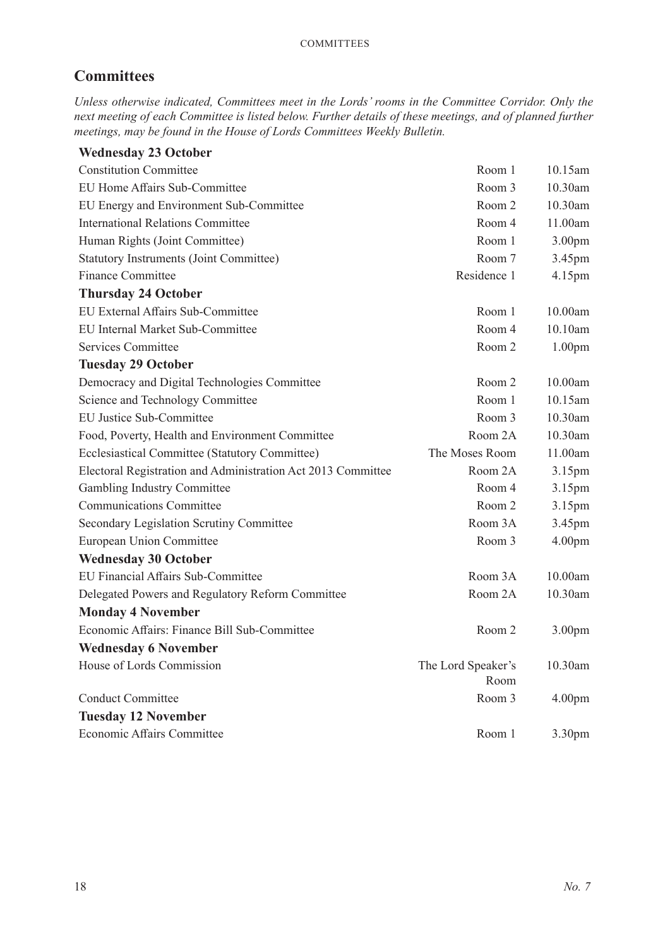## **Committees**

*Unless otherwise indicated, Committees meet in the Lords' rooms in the Committee Corridor. Only the next meeting of each Committee is listed below. Further details of these meetings, and of planned further meetings, may be found in the House of Lords Committees Weekly Bulletin.*

| <b>Wednesday 23 October</b>                                  |                            |                    |
|--------------------------------------------------------------|----------------------------|--------------------|
| <b>Constitution Committee</b>                                | Room 1                     | 10.15am            |
| EU Home Affairs Sub-Committee                                | Room 3                     | 10.30am            |
| EU Energy and Environment Sub-Committee                      | Room 2                     | 10.30am            |
| <b>International Relations Committee</b>                     | Room 4                     | 11.00am            |
| Human Rights (Joint Committee)                               | Room 1                     | 3.00 <sub>pm</sub> |
| <b>Statutory Instruments (Joint Committee)</b>               | Room 7                     | 3.45pm             |
| <b>Finance Committee</b>                                     | Residence 1                | 4.15pm             |
| <b>Thursday 24 October</b>                                   |                            |                    |
| EU External Affairs Sub-Committee                            | Room 1                     | 10.00am            |
| <b>EU Internal Market Sub-Committee</b>                      | Room 4                     | 10.10am            |
| Services Committee                                           | Room 2                     | 1.00 <sub>pm</sub> |
| <b>Tuesday 29 October</b>                                    |                            |                    |
| Democracy and Digital Technologies Committee                 | Room 2                     | 10.00am            |
| Science and Technology Committee                             | Room 1                     | 10.15am            |
| <b>EU Justice Sub-Committee</b>                              | Room 3                     | 10.30am            |
| Food, Poverty, Health and Environment Committee              | Room 2A                    | 10.30am            |
| Ecclesiastical Committee (Statutory Committee)               | The Moses Room             | 11.00am            |
| Electoral Registration and Administration Act 2013 Committee | Room 2A                    | 3.15 <sub>pm</sub> |
| Gambling Industry Committee                                  | Room 4                     | 3.15pm             |
| <b>Communications Committee</b>                              | Room 2                     | 3.15pm             |
| Secondary Legislation Scrutiny Committee                     | Room 3A                    | 3.45pm             |
| <b>European Union Committee</b>                              | Room 3                     | 4.00 <sub>pm</sub> |
| <b>Wednesday 30 October</b>                                  |                            |                    |
| EU Financial Affairs Sub-Committee                           | Room 3A                    | 10.00am            |
| Delegated Powers and Regulatory Reform Committee             | Room 2A                    | 10.30am            |
| <b>Monday 4 November</b>                                     |                            |                    |
| Economic Affairs: Finance Bill Sub-Committee                 | Room 2                     | 3.00 <sub>pm</sub> |
| <b>Wednesday 6 November</b>                                  |                            |                    |
| House of Lords Commission                                    | The Lord Speaker's<br>Room | 10.30am            |
| <b>Conduct Committee</b>                                     | Room 3                     | 4.00 <sub>pm</sub> |
| <b>Tuesday 12 November</b>                                   |                            |                    |
| Economic Affairs Committee                                   | Room 1                     | 3.30 <sub>pm</sub> |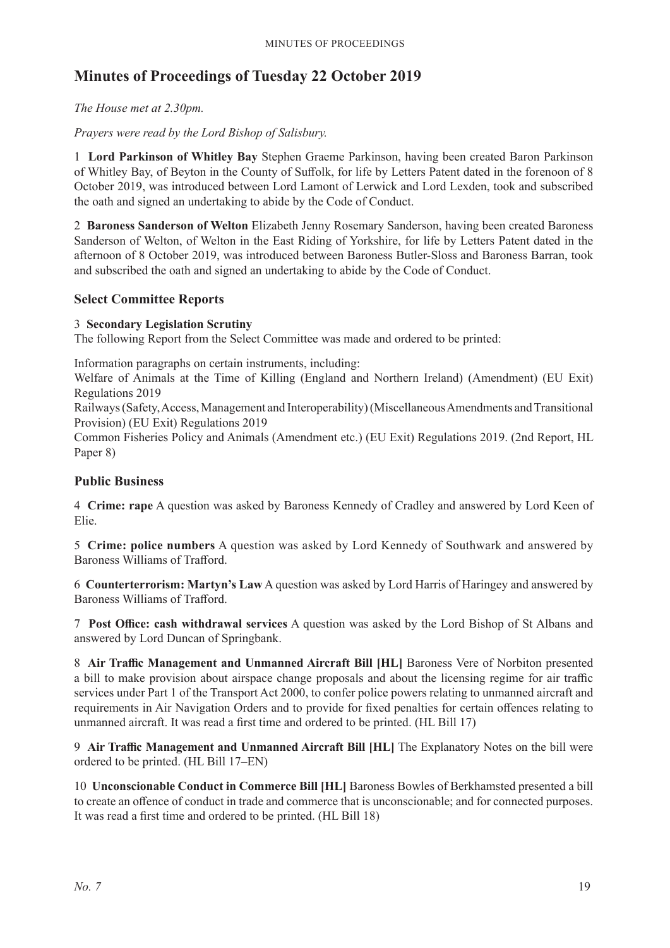## **Minutes of Proceedings of Tuesday 22 October 2019**

## *The House met at 2.30pm.*

*Prayers were read by the Lord Bishop of Salisbury.*

1 **Lord Parkinson of Whitley Bay** Stephen Graeme Parkinson, having been created Baron Parkinson of Whitley Bay, of Beyton in the County of Suffolk, for life by Letters Patent dated in the forenoon of 8 October 2019, was introduced between Lord Lamont of Lerwick and Lord Lexden, took and subscribed the oath and signed an undertaking to abide by the Code of Conduct.

2 **Baroness Sanderson of Welton** Elizabeth Jenny Rosemary Sanderson, having been created Baroness Sanderson of Welton, of Welton in the East Riding of Yorkshire, for life by Letters Patent dated in the afternoon of 8 October 2019, was introduced between Baroness Butler-Sloss and Baroness Barran, took and subscribed the oath and signed an undertaking to abide by the Code of Conduct.

## **Select Committee Reports**

### 3 **Secondary Legislation Scrutiny**

The following Report from the Select Committee was made and ordered to be printed:

Information paragraphs on certain instruments, including:

Welfare of Animals at the Time of Killing (England and Northern Ireland) (Amendment) (EU Exit) Regulations 2019

Railways (Safety, Access, Management and Interoperability) (Miscellaneous Amendments and Transitional Provision) (EU Exit) Regulations 2019

Common Fisheries Policy and Animals (Amendment etc.) (EU Exit) Regulations 2019. (2nd Report, HL Paper 8)

## **Public Business**

4 **Crime: rape** A question was asked by Baroness Kennedy of Cradley and answered by Lord Keen of Elie.

5 **Crime: police numbers** A question was asked by Lord Kennedy of Southwark and answered by Baroness Williams of Trafford.

6 **Counterterrorism: Martyn's Law** A question was asked by Lord Harris of Haringey and answered by Baroness Williams of Trafford.

7 **Post Office: cash withdrawal services** A question was asked by the Lord Bishop of St Albans and answered by Lord Duncan of Springbank.

8 **Air Traffic Management and Unmanned Aircraft Bill [HL]** Baroness Vere of Norbiton presented a bill to make provision about airspace change proposals and about the licensing regime for air traffic services under Part 1 of the Transport Act 2000, to confer police powers relating to unmanned aircraft and requirements in Air Navigation Orders and to provide for fixed penalties for certain offences relating to unmanned aircraft. It was read a first time and ordered to be printed. (HL Bill 17)

9 **Air Traffic Management and Unmanned Aircraft Bill [HL]** The Explanatory Notes on the bill were ordered to be printed. (HL Bill 17–EN)

10 **Unconscionable Conduct in Commerce Bill [HL]** Baroness Bowles of Berkhamsted presented a bill to create an offence of conduct in trade and commerce that is unconscionable; and for connected purposes. It was read a first time and ordered to be printed. (HL Bill 18)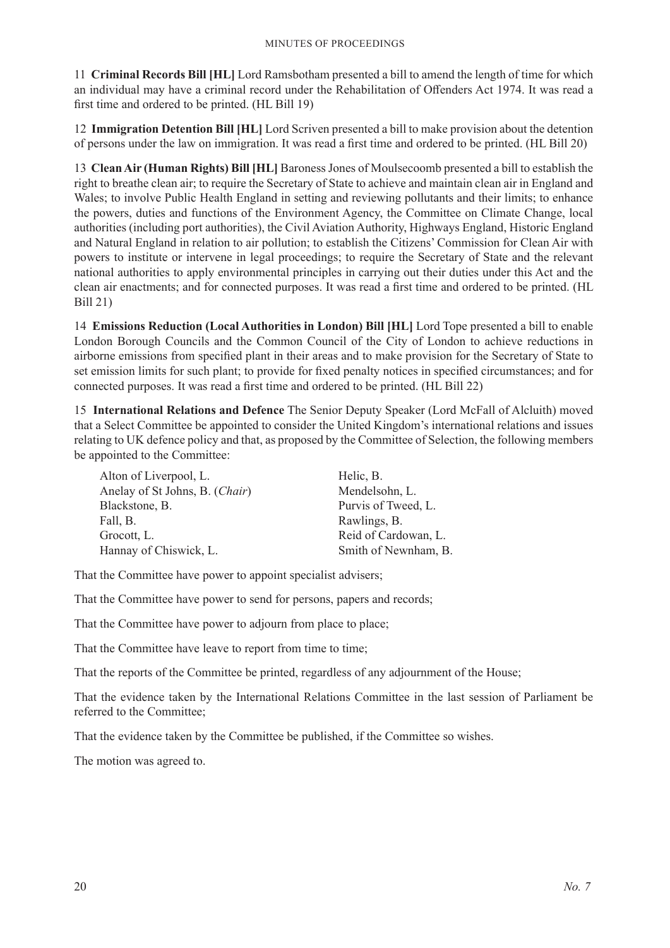11 **Criminal Records Bill [HL]** Lord Ramsbotham presented a bill to amend the length of time for which an individual may have a criminal record under the Rehabilitation of Offenders Act 1974. It was read a first time and ordered to be printed. (HL Bill 19)

12 **Immigration Detention Bill [HL]** Lord Scriven presented a bill to make provision about the detention of persons under the law on immigration. It was read a first time and ordered to be printed. (HL Bill 20)

13 **Clean Air (Human Rights) Bill [HL]** Baroness Jones of Moulsecoomb presented a bill to establish the right to breathe clean air; to require the Secretary of State to achieve and maintain clean air in England and Wales; to involve Public Health England in setting and reviewing pollutants and their limits; to enhance the powers, duties and functions of the Environment Agency, the Committee on Climate Change, local authorities (including port authorities), the Civil Aviation Authority, Highways England, Historic England and Natural England in relation to air pollution; to establish the Citizens' Commission for Clean Air with powers to institute or intervene in legal proceedings; to require the Secretary of State and the relevant national authorities to apply environmental principles in carrying out their duties under this Act and the clean air enactments; and for connected purposes. It was read a first time and ordered to be printed. (HL Bill 21)

14 **Emissions Reduction (Local Authorities in London) Bill [HL]** Lord Tope presented a bill to enable London Borough Councils and the Common Council of the City of London to achieve reductions in airborne emissions from specified plant in their areas and to make provision for the Secretary of State to set emission limits for such plant; to provide for fixed penalty notices in specified circumstances; and for connected purposes. It was read a first time and ordered to be printed. (HL Bill 22)

15 **International Relations and Defence** The Senior Deputy Speaker (Lord McFall of Alcluith) moved that a Select Committee be appointed to consider the United Kingdom's international relations and issues relating to UK defence policy and that, as proposed by the Committee of Selection, the following members be appointed to the Committee:

| Alton of Liverpool, L.         | Helic, B.            |
|--------------------------------|----------------------|
| Anelay of St Johns, B. (Chair) | Mendelsohn, L.       |
| Blackstone, B.                 | Purvis of Tweed, L.  |
| Fall, B.                       | Rawlings, B.         |
| Grocott, L.                    | Reid of Cardowan, L. |
| Hannay of Chiswick, L.         | Smith of Newnham, B. |

That the Committee have power to appoint specialist advisers;

That the Committee have power to send for persons, papers and records;

That the Committee have power to adjourn from place to place;

That the Committee have leave to report from time to time;

That the reports of the Committee be printed, regardless of any adjournment of the House;

That the evidence taken by the International Relations Committee in the last session of Parliament be referred to the Committee;

That the evidence taken by the Committee be published, if the Committee so wishes.

The motion was agreed to.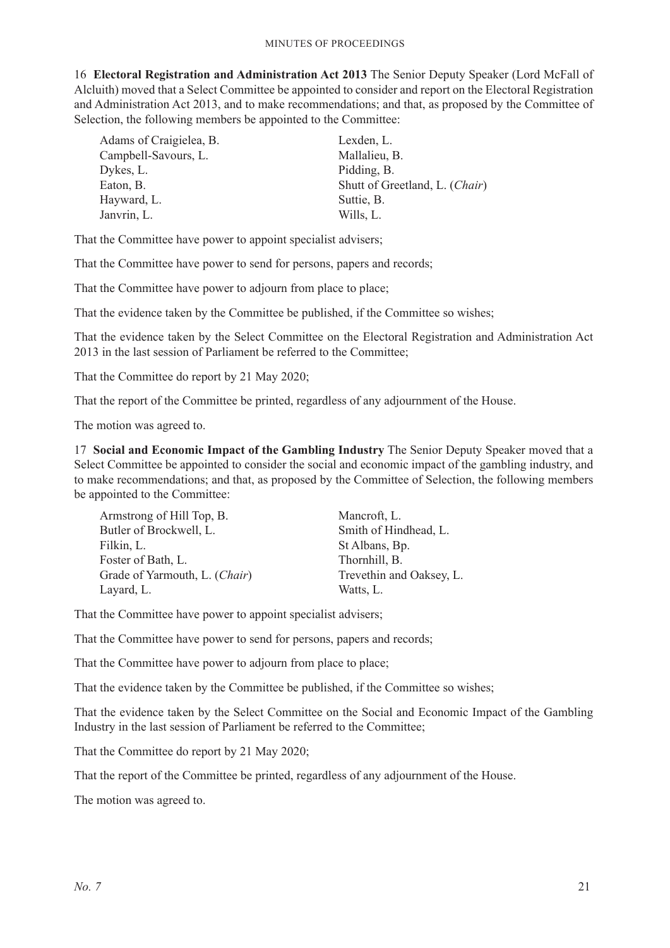16 **Electoral Registration and Administration Act 2013** The Senior Deputy Speaker (Lord McFall of Alcluith) moved that a Select Committee be appointed to consider and report on the Electoral Registration and Administration Act 2013, and to make recommendations; and that, as proposed by the Committee of Selection, the following members be appointed to the Committee:

| Adams of Craigielea, B. | Lexden, L.                     |
|-------------------------|--------------------------------|
| Campbell-Savours, L.    | Mallalieu, B.                  |
| Dykes, L.               | Pidding, B.                    |
| Eaton, B.               | Shutt of Greetland, L. (Chair) |
| Hayward, L.             | Suttie, B.                     |
| Janvrin, L.             | Wills, L.                      |

That the Committee have power to appoint specialist advisers;

That the Committee have power to send for persons, papers and records;

That the Committee have power to adjourn from place to place;

That the evidence taken by the Committee be published, if the Committee so wishes;

That the evidence taken by the Select Committee on the Electoral Registration and Administration Act 2013 in the last session of Parliament be referred to the Committee;

That the Committee do report by 21 May 2020;

That the report of the Committee be printed, regardless of any adjournment of the House.

The motion was agreed to.

17 **Social and Economic Impact of the Gambling Industry** The Senior Deputy Speaker moved that a Select Committee be appointed to consider the social and economic impact of the gambling industry, and to make recommendations; and that, as proposed by the Committee of Selection, the following members be appointed to the Committee:

| Armstrong of Hill Top, B.     | Mancroft, L.             |
|-------------------------------|--------------------------|
| Butler of Brockwell, L.       | Smith of Hindhead, L.    |
| Filkin, L.                    | St Albans, Bp.           |
| Foster of Bath, L.            | Thornhill, B.            |
| Grade of Yarmouth, L. (Chair) | Trevethin and Oaksey, L. |
| Layard, L.                    | Watts, L.                |

That the Committee have power to appoint specialist advisers;

That the Committee have power to send for persons, papers and records;

That the Committee have power to adjourn from place to place:

That the evidence taken by the Committee be published, if the Committee so wishes;

That the evidence taken by the Select Committee on the Social and Economic Impact of the Gambling Industry in the last session of Parliament be referred to the Committee;

That the Committee do report by 21 May 2020;

That the report of the Committee be printed, regardless of any adjournment of the House.

The motion was agreed to.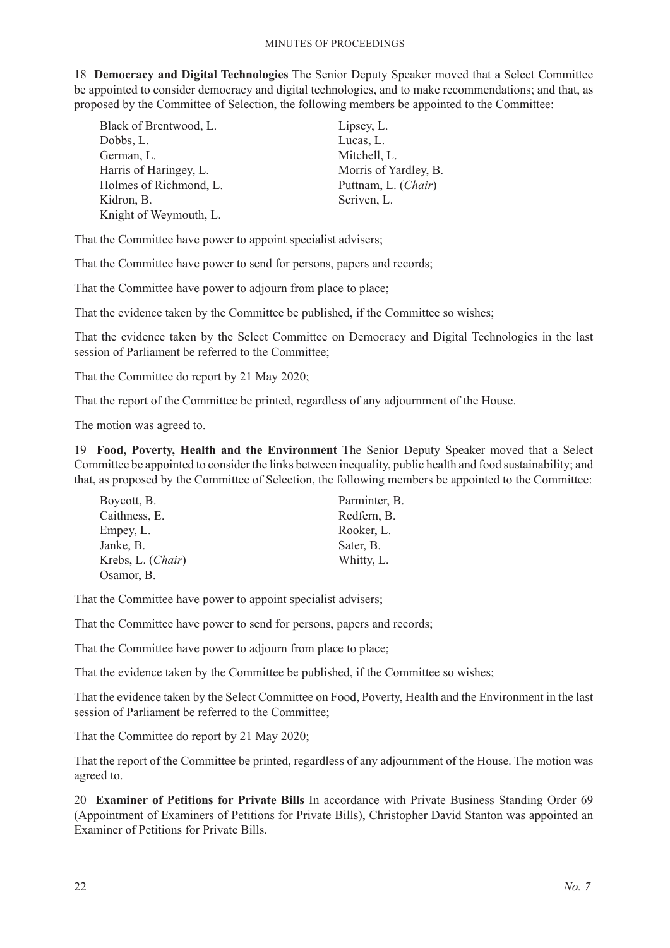18 **Democracy and Digital Technologies** The Senior Deputy Speaker moved that a Select Committee be appointed to consider democracy and digital technologies, and to make recommendations; and that, as proposed by the Committee of Selection, the following members be appointed to the Committee:

| Black of Brentwood, L. | Lipsey, L.            |
|------------------------|-----------------------|
| Dobbs, L.              | Lucas, L.             |
| German, L.             | Mitchell, L.          |
| Harris of Haringey, L. | Morris of Yardley, B. |
| Holmes of Richmond, L. | Puttnam, L. (Chair)   |
| Kidron, B.             | Scriven, L.           |
| Knight of Weymouth, L. |                       |

That the Committee have power to appoint specialist advisers;

That the Committee have power to send for persons, papers and records;

That the Committee have power to adjourn from place to place;

That the evidence taken by the Committee be published, if the Committee so wishes;

That the evidence taken by the Select Committee on Democracy and Digital Technologies in the last session of Parliament be referred to the Committee;

That the Committee do report by 21 May 2020;

That the report of the Committee be printed, regardless of any adjournment of the House.

The motion was agreed to.

19 **Food, Poverty, Health and the Environment** The Senior Deputy Speaker moved that a Select Committee be appointed to consider the links between inequality, public health and food sustainability; and that, as proposed by the Committee of Selection, the following members be appointed to the Committee:

| Boycott, B.       | Parminter, B. |
|-------------------|---------------|
| Caithness, E.     | Redfern, B.   |
| Empey, L.         | Rooker, L.    |
| Janke, B.         | Sater, B.     |
| Krebs, L. (Chair) | Whitty, L.    |
| Osamor, B.        |               |

That the Committee have power to appoint specialist advisers;

That the Committee have power to send for persons, papers and records;

That the Committee have power to adjourn from place to place;

That the evidence taken by the Committee be published, if the Committee so wishes;

That the evidence taken by the Select Committee on Food, Poverty, Health and the Environment in the last session of Parliament be referred to the Committee;

That the Committee do report by 21 May 2020;

That the report of the Committee be printed, regardless of any adjournment of the House. The motion was agreed to.

20 **Examiner of Petitions for Private Bills** In accordance with Private Business Standing Order 69 (Appointment of Examiners of Petitions for Private Bills), Christopher David Stanton was appointed an Examiner of Petitions for Private Bills.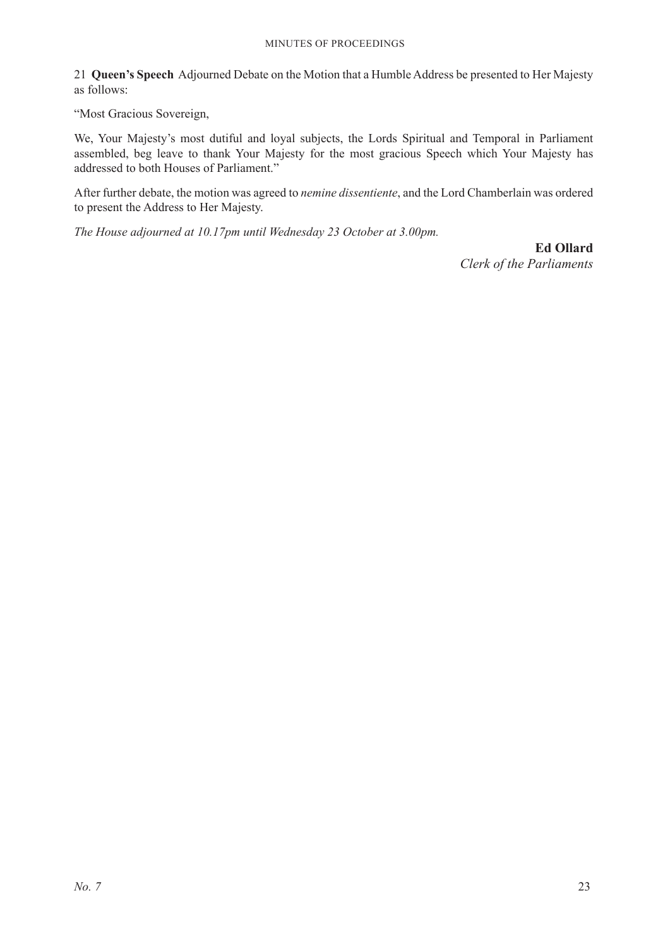#### Minutes of Proceedings

21 **Queen's Speech** Adjourned Debate on the Motion that a Humble Address be presented to Her Majesty as follows:

"Most Gracious Sovereign,

We, Your Majesty's most dutiful and loyal subjects, the Lords Spiritual and Temporal in Parliament assembled, beg leave to thank Your Majesty for the most gracious Speech which Your Majesty has addressed to both Houses of Parliament."

After further debate, the motion was agreed to *nemine dissentiente*, and the Lord Chamberlain was ordered to present the Address to Her Majesty.

*The House adjourned at 10.17pm until Wednesday 23 October at 3.00pm.*

**Ed Ollard** *Clerk of the Parliaments*